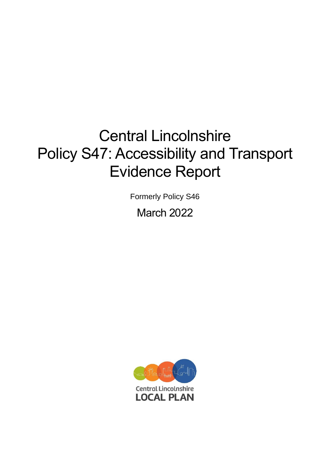# Central Lincolnshire Policy S47: Accessibility and Transport Evidence Report

Formerly Policy S46

March 2022

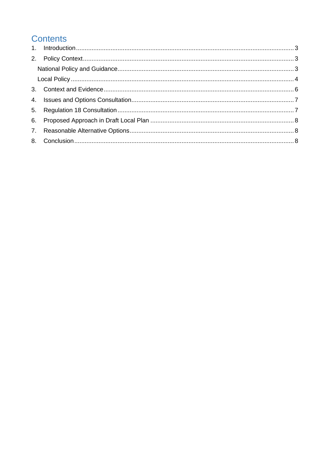# **Contents**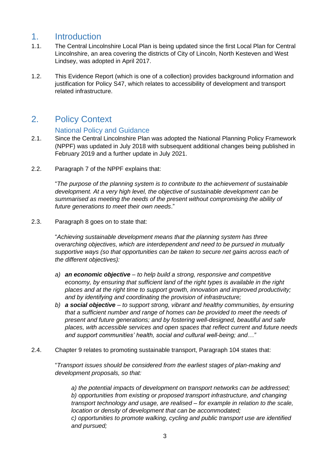## <span id="page-2-0"></span>1. Introduction

- 1.1. The Central Lincolnshire Local Plan is being updated since the first Local Plan for Central Lincolnshire, an area covering the districts of City of Lincoln, North Kesteven and West Lindsey, was adopted in April 2017.
- 1.2. This Evidence Report (which is one of a collection) provides background information and justification for Policy S47, which relates to accessibility of development and transport related infrastructure.

# <span id="page-2-1"></span>2. Policy Context

#### National Policy and Guidance

- <span id="page-2-2"></span>2.1. Since the Central Lincolnshire Plan was adopted the National Planning Policy Framework (NPPF) was updated in July 2018 with subsequent additional changes being published in February 2019 and a further update in July 2021.
- 2.2. Paragraph 7 of the NPPF explains that:

"*The purpose of the planning system is to contribute to the achievement of sustainable development. At a very high level, the objective of sustainable development can be summarised as meeting the needs of the present without compromising the ability of future generations to meet their own needs*."

2.3. Paragraph 8 goes on to state that:

"*Achieving sustainable development means that the planning system has three overarching objectives, which are interdependent and need to be pursued in mutually supportive ways (so that opportunities can be taken to secure net gains across each of the different objectives):*

- *a) an economic objective – to help build a strong, responsive and competitive economy, by ensuring that sufficient land of the right types is available in the right places and at the right time to support growth, innovation and improved productivity; and by identifying and coordinating the provision of infrastructure;*
- *b) a social objective – to support strong, vibrant and healthy communities, by ensuring that a sufficient number and range of homes can be provided to meet the needs of present and future generations; and by fostering well-designed, beautiful and safe places, with accessible services and open spaces that reflect current and future needs and support communities' health, social and cultural well-being; and…"*
- 2.4. Chapter 9 relates to promoting sustainable transport, Paragraph 104 states that:

"*Transport issues should be considered from the earliest stages of plan-making and development proposals, so that:*

*a) the potential impacts of development on transport networks can be addressed; b) opportunities from existing or proposed transport infrastructure, and changing transport technology and usage, are realised – for example in relation to the scale, location or density of development that can be accommodated; c) opportunities to promote walking, cycling and public transport use are identified and pursued;*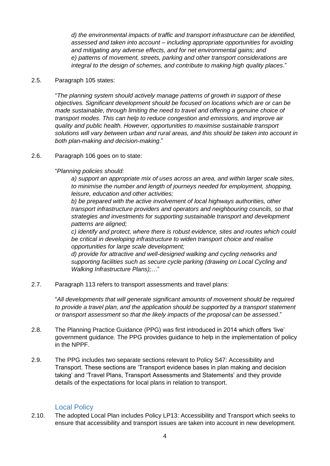*d) the environmental impacts of traffic and transport infrastructure can be identified, assessed and taken into account – including appropriate opportunities for avoiding and mitigating any adverse effects, and for net environmental gains; and e) patterns of movement, streets, parking and other transport considerations are integral to the design of schemes, and contribute to making high quality places*."

#### 2.5. Paragraph 105 states:

"*The planning system should actively manage patterns of growth in support of these objectives. Significant development should be focused on locations which are or can be made sustainable, through limiting the need to travel and offering a genuine choice of transport modes. This can help to reduce congestion and emissions, and improve air quality and public health. However, opportunities to maximise sustainable transport solutions will vary between urban and rural areas, and this should be taken into account in both plan-making and decision-making*."

#### 2.6. Paragraph 106 goes on to state:

#### "*Planning policies should:*

*a) support an appropriate mix of uses across an area, and within larger scale sites, to minimise the number and length of journeys needed for employment, shopping, leisure, education and other activities;*

*b) be prepared with the active involvement of local highways authorities, other transport infrastructure providers and operators and neighbouring councils, so that strategies and investments for supporting sustainable transport and development patterns are aligned;*

*c) identify and protect, where there is robust evidence, sites and routes which could be critical in developing infrastructure to widen transport choice and realise opportunities for large scale development;*

*d) provide for attractive and well-designed walking and cycling networks and supporting facilities such as secure cycle parking (drawing on Local Cycling and Walking Infrastructure Plans);*…"

2.7. Paragraph 113 refers to transport assessments and travel plans:

"*All developments that will generate significant amounts of movement should be required to provide a travel plan, and the application should be supported by a transport statement or transport assessment so that the likely impacts of the proposal can be assessed*."

- 2.8. The Planning Practice Guidance (PPG) was first introduced in 2014 which offers 'live' government guidance. The PPG provides guidance to help in the implementation of policy in the NPPF.
- 2.9. The PPG includes two separate sections relevant to Policy S47: Accessibility and Transport. These sections are 'Transport evidence bases in plan making and decision taking' and 'Travel Plans, Transport Assessments and Statements' and they provide details of the expectations for local plans in relation to transport.

#### Local Policy

<span id="page-3-0"></span>2.10. The adopted Local Plan includes Policy LP13: Accessibility and Transport which seeks to ensure that accessibility and transport issues are taken into account in new development.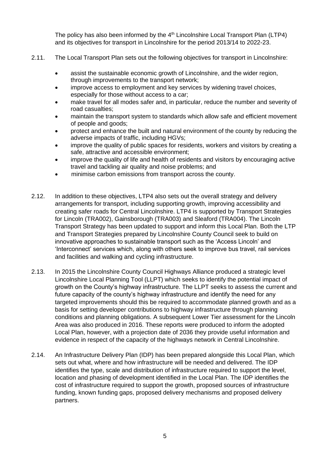The policy has also been informed by the  $4<sup>th</sup>$  Lincolnshire Local Transport Plan (LTP4) and its objectives for transport in Lincolnshire for the period 2013/14 to 2022-23.

- 2.11. The Local Transport Plan sets out the following objectives for transport in Lincolnshire:
	- assist the sustainable economic growth of Lincolnshire, and the wider region, through improvements to the transport network;
	- improve access to employment and key services by widening travel choices, especially for those without access to a car;
	- make travel for all modes safer and, in particular, reduce the number and severity of road casualties;
	- maintain the transport system to standards which allow safe and efficient movement of people and goods;
	- protect and enhance the built and natural environment of the county by reducing the adverse impacts of traffic, including HGVs;
	- improve the quality of public spaces for residents, workers and visitors by creating a safe, attractive and accessible environment;
	- improve the quality of life and health of residents and visitors by encouraging active travel and tackling air quality and noise problems; and
	- minimise carbon emissions from transport across the county.
- 2.12. In addition to these objectives, LTP4 also sets out the overall strategy and delivery arrangements for transport, including supporting growth, improving accessibility and creating safer roads for Central Lincolnshire. LTP4 is supported by Transport Strategies for Lincoln (TRA002), Gainsborough (TRA003) and Sleaford (TRA004). The Lincoln Transport Strategy has been updated to support and inform this Local Plan. Both the LTP and Transport Strategies prepared by Lincolnshire County Council seek to build on innovative approaches to sustainable transport such as the 'Access Lincoln' and 'Interconnect' services which, along with others seek to improve bus travel, rail services and facilities and walking and cycling infrastructure.
- 2.13. In 2015 the Lincolnshire County Council Highways Alliance produced a strategic level Lincolnshire Local Planning Tool (LLPT) which seeks to identify the potential impact of growth on the County's highway infrastructure. The LLPT seeks to assess the current and future capacity of the county's highway infrastructure and identify the need for any targeted improvements should this be required to accommodate planned growth and as a basis for setting developer contributions to highway infrastructure through planning conditions and planning obligations. A subsequent Lower Tier assessment for the Lincoln Area was also produced in 2016. These reports were produced to inform the adopted Local Plan, however, with a projection date of 2036 they provide useful information and evidence in respect of the capacity of the highways network in Central Lincolnshire.
- 2.14. An Infrastructure Delivery Plan (IDP) has been prepared alongside this Local Plan, which sets out what, where and how infrastructure will be needed and delivered. The IDP identifies the type, scale and distribution of infrastructure required to support the level, location and phasing of development identified in the Local Plan. The IDP identifies the cost of infrastructure required to support the growth, proposed sources of infrastructure funding, known funding gaps, proposed delivery mechanisms and proposed delivery partners.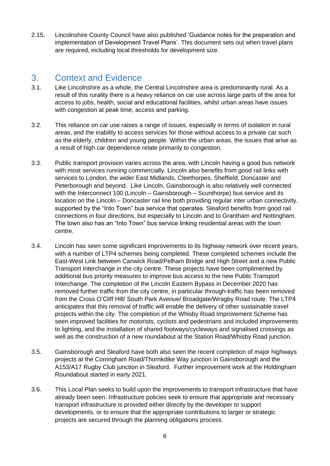2.15. Lincolnshire County Council have also published 'Guidance notes for the preparation and implementation of Development Travel Plans'. This document sets out when travel plans are required, including local thresholds for development size.

### <span id="page-5-0"></span>3. Context and Evidence

- 3.1. Like Lincolnshire as a whole, the Central Lincolnshire area is predominantly rural. As a result of this rurality there is a heavy reliance on car use across large parts of the area for access to jobs, health, social and educational facilities, whilst urban areas have issues with congestion at peak time, access and parking.
- 3.2. This reliance on car use raises a range of issues, especially in terms of isolation in rural areas, and the inability to access services for those without access to a private car such as the elderly, children and young people. Within the urban areas, the issues that arise as a result of high car dependence relate primarily to congestion.
- 3.3. Public transport provision varies across the area, with Lincoln having a good bus network with most services running commercially. Lincoln also benefits from good rail links with services to London, the wider East Midlands, Cleethorpes, Sheffield, Doncaster and Peterborough and beyond. Like Lincoln, Gainsborough is also relatively well connected with the Interconnect 100 (Lincoln – Gainsborough – Scunthorpe) bus service and its location on the Lincoln – Doncaster rail line both providing regular inter urban connectivity, supported by the "Into Town" bus service that operates. Sleaford benefits from good rail connections in four directions, but especially to Lincoln and to Grantham and Nottingham. The town also has an "Into Town" bus service linking residential areas with the town centre.
- 3.4. Lincoln has seen some significant improvements to its highway network over recent years, with a number of LTP4 schemes being completed. These completed schemes include the East-West Link between Canwick Road/Pelham Bridge and High Street and a new Public Transport Interchange in the city centre. These projects have been complimented by additional bus priority measures to improve bus access to the new Public Transport Interchange. The completion of the Lincoln Eastern Bypass in December 2020 has removed further traffic from the city centre, in particular through-traffic has been removed from the Cross O'Cliff Hill/ South Park Avenue/ Broadgate/Wragby Road route. The LTP4 anticipates that this removal of traffic will enable the delivery of other sustainable travel projects within the city. The completion of the Whisby Road Improvement Scheme has seen improved facilities for motorists, cyclists and pedestrians and included improvements to lighting, and the installation of shared footways/cycleways and signalised crossings as well as the construction of a new roundabout at the Station Road/Whisby Road junction.
- 3.5. Gainsborough and Sleaford have both also seen the recent completion of major highways projects at the Corringham Road/Thornkdike Way junction in Gainsborough and the A153/A17 Rugby Club junction in Sleaford. Further improvement work at the Holdingham Roundabout started in early 2021.
- 3.6. This Local Plan seeks to build upon the improvements to transport infrastructure that have already been seen. Infrastructure policies seek to ensure that appropriate and necessary transport infrastructure is provided either directly by the developer to support developments, or to ensure that the appropriate contributions to larger or strategic projects are secured through the planning obligations process.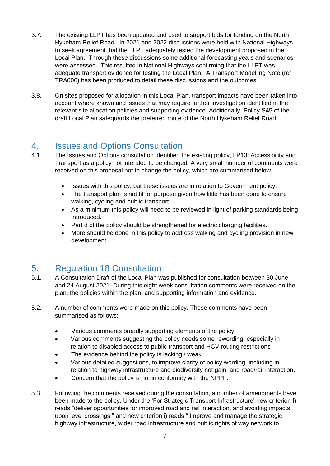- 3.7. The existing LLPT has been updated and used to support bids for funding on the North Hykeham Relief Road. In 2021 and 2022 discussions were held with National Highways to seek agreement that the LLPT adequately tested the development proposed in the Local Plan. Through these discussions some additional forecasting years and scenarios were assessed. This resulted in National Highways confirming that the LLPT was adequate transport evidence for testing the Local Plan. A Transport Modelling Note (ref TRA006) has been produced to detail these discussions and the outcomes.
- 3.8. On sites proposed for allocation in this Local Plan, transport impacts have been taken into account where known and issues that may require further investigation identified in the relevant site allocation policies and supporting evidence. Additionally, Policy S45 of the draft Local Plan safeguards the preferred route of the North Hykeham Relief Road.

## <span id="page-6-0"></span>4. Issues and Options Consultation

- 4.1. The Issues and Options consultation identified the existing policy, LP13: Accessibility and Transport as a policy not intended to be changed. A very small number of comments were received on this proposal not to change the policy, which are summarised below.
	- Issues with this policy, but these issues are in relation to Government policy.
	- The transport plan is not fit for purpose given how little has been done to ensure walking, cycling and public transport.
	- As a minimum this policy will need to be reviewed in light of parking standards being introduced.
	- Part d of the policy should be strengthened for electric charging facilities.
	- More should be done in this policy to address walking and cycling provision in new development.

# <span id="page-6-1"></span>5. Regulation 18 Consultation

- 5.1. A Consultation Draft of the Local Plan was published for consultation between 30 June and 24 August 2021. During this eight week consultation comments were received on the plan, the policies within the plan, and supporting information and evidence.
- 5.2. A number of comments were made on this policy. These comments have been summarised as follows:
	- Various comments broadly supporting elements of the policy.
	- Various comments suggesting the policy needs some rewording, especially in relation to disabled access to public transport and HCV routing restrictions
	- The evidence behind the policy is lacking / weak.
	- Various detailed suggestions, to improve clarity of policy wording, including in relation to highway infrastructure and biodiversity net gain, and road/rail interaction.
	- Concern that the policy is not in conformity with the NPPF.
- 5.3. Following the comments received during the consultation, a number of amendments have been made to the policy. Under the 'For Strategic Transport Infrastructure' new criterion f) reads "deliver opportunities for improved road and rail interaction, and avoiding impacts upon level crossings;" and new criterion i) reads " Improve and manage the strategic highway infrastructure, wider road infrastructure and public rights of way network to